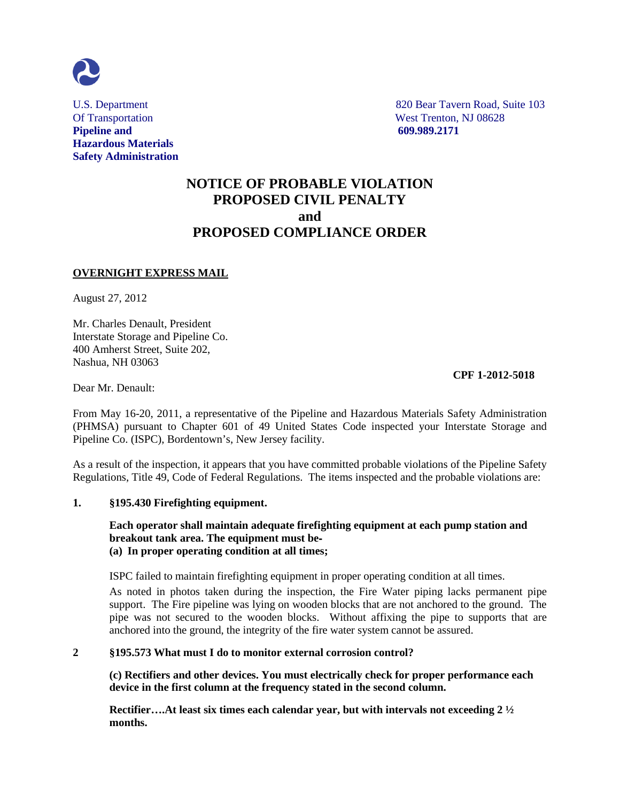

**Pipeline and 609.989.2171 Hazardous Materials Safety Administration**

U.S. Department 820 Bear Tavern Road, Suite 103 Of Transportation West Trenton, NJ 08628

# **NOTICE OF PROBABLE VIOLATION PROPOSED CIVIL PENALTY and PROPOSED COMPLIANCE ORDER**

## **OVERNIGHT EXPRESS MAIL**

August 27, 2012

Mr. Charles Denault, President Interstate Storage and Pipeline Co. 400 Amherst Street, Suite 202, Nashua, NH 03063

## **CPF 1-2012-5018**

Dear Mr. Denault:

From May 16-20, 2011, a representative of the Pipeline and Hazardous Materials Safety Administration (PHMSA) pursuant to Chapter 601 of 49 United States Code inspected your Interstate Storage and Pipeline Co. (ISPC), Bordentown's, New Jersey facility.

As a result of the inspection, it appears that you have committed probable violations of the Pipeline Safety Regulations, Title 49, Code of Federal Regulations. The items inspected and the probable violations are:

#### **1. §195.430 Firefighting equipment.**

## **Each operator shall maintain adequate firefighting equipment at each pump station and breakout tank area. The equipment must be**‐ **(a) In proper operating condition at all times;**

ISPC failed to maintain firefighting equipment in proper operating condition at all times.

As noted in photos taken during the inspection, the Fire Water piping lacks permanent pipe support. The Fire pipeline was lying on wooden blocks that are not anchored to the ground. The pipe was not secured to the wooden blocks. Without affixing the pipe to supports that are anchored into the ground, the integrity of the fire water system cannot be assured.

#### **2 §195.573 What must I do to monitor external corrosion control?**

**(c) Rectifiers and other devices. You must electrically check for proper performance each device in the first column at the frequency stated in the second column.**

**Rectifier….At least six times each calendar year, but with intervals not exceeding 2 ½ months.**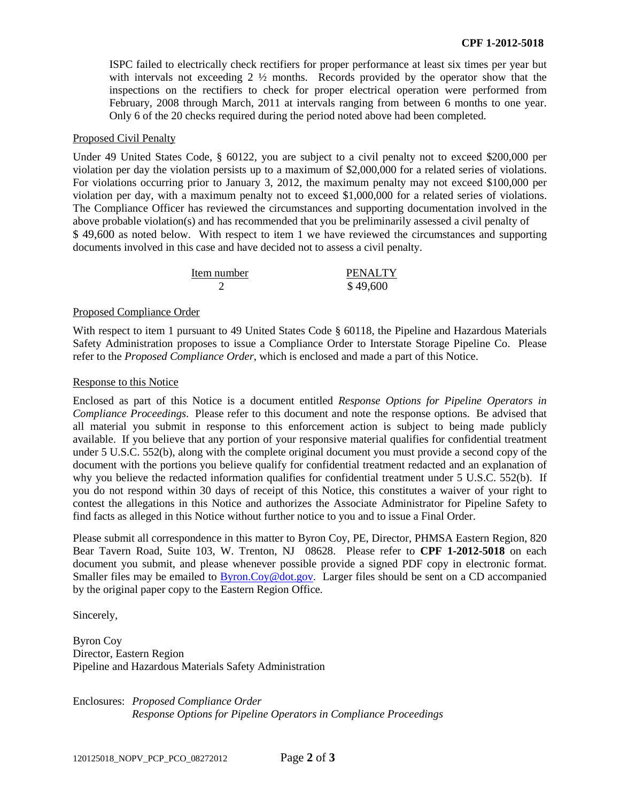ISPC failed to electrically check rectifiers for proper performance at least six times per year but with intervals not exceeding 2 ½ months. Records provided by the operator show that the inspections on the rectifiers to check for proper electrical operation were performed from February, 2008 through March, 2011 at intervals ranging from between 6 months to one year. Only 6 of the 20 checks required during the period noted above had been completed.

#### Proposed Civil Penalty

Under 49 United States Code, § 60122, you are subject to a civil penalty not to exceed \$200,000 per violation per day the violation persists up to a maximum of \$2,000,000 for a related series of violations. For violations occurring prior to January 3, 2012, the maximum penalty may not exceed \$100,000 per violation per day, with a maximum penalty not to exceed \$1,000,000 for a related series of violations. The Compliance Officer has reviewed the circumstances and supporting documentation involved in the above probable violation(s) and has recommended that you be preliminarily assessed a civil penalty of \$49,600 as noted below. With respect to item 1 we have reviewed the circumstances and supporting documents involved in this case and have decided not to assess a civil penalty.

| Item number | <b>PENALTY</b> |
|-------------|----------------|
|             | \$49,600       |

#### Proposed Compliance Order

With respect to item 1 pursuant to 49 United States Code § 60118, the Pipeline and Hazardous Materials Safety Administration proposes to issue a Compliance Order to Interstate Storage Pipeline Co. Please refer to the *Proposed Compliance Order*, which is enclosed and made a part of this Notice.

#### Response to this Notice

Enclosed as part of this Notice is a document entitled *Response Options for Pipeline Operators in Compliance Proceedings*. Please refer to this document and note the response options. Be advised that all material you submit in response to this enforcement action is subject to being made publicly available. If you believe that any portion of your responsive material qualifies for confidential treatment under 5 U.S.C. 552(b), along with the complete original document you must provide a second copy of the document with the portions you believe qualify for confidential treatment redacted and an explanation of why you believe the redacted information qualifies for confidential treatment under 5 U.S.C. 552(b). If you do not respond within 30 days of receipt of this Notice, this constitutes a waiver of your right to contest the allegations in this Notice and authorizes the Associate Administrator for Pipeline Safety to find facts as alleged in this Notice without further notice to you and to issue a Final Order.

Please submit all correspondence in this matter to Byron Coy, PE, Director, PHMSA Eastern Region, 820 Bear Tavern Road, Suite 103, W. Trenton, NJ 08628. Please refer to **CPF 1-2012-5018** on each document you submit, and please whenever possible provide a signed PDF copy in electronic format. Smaller files may be emailed to **Byron.Coy@dot.gov.** Larger files should be sent on a CD accompanied by the original paper copy to the Eastern Region Office.

Sincerely,

Byron Coy Director, Eastern Region Pipeline and Hazardous Materials Safety Administration

Enclosures: *Proposed Compliance Order Response Options for Pipeline Operators in Compliance Proceedings*